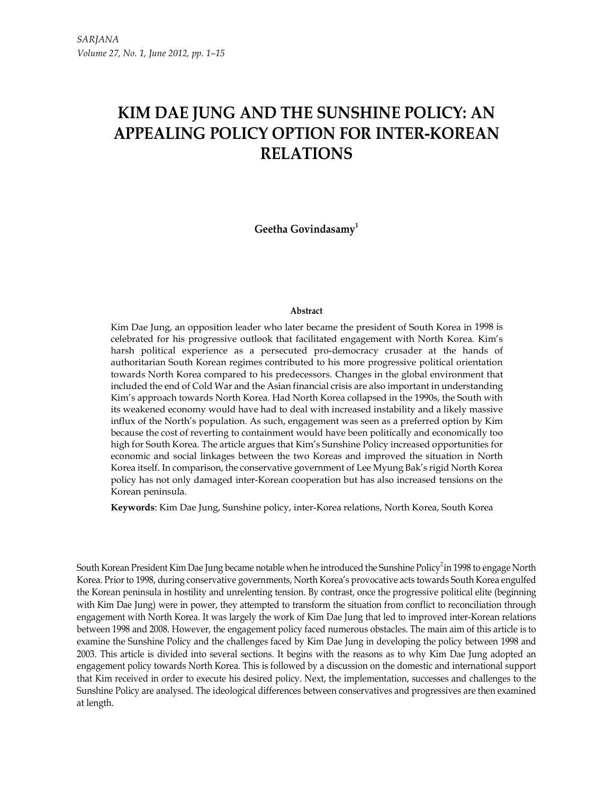# KIM DAE JUNG AND THE SUNSHINE POLICY: AN APPEALING POLICY OPTION FOR INTER-KOREAN RELATIONS

Geetha Govindasamy<sup>1</sup>

#### Abstract

Kim Dae Jung, an opposition leader who later became the president of South Korea in 1998 is celebrated for his progressive outlook that facilitated engagement with North Korea. Kim's harsh political experience as a persecuted pro-democracy crusader at the hands of authoritarian South Korean regimes contributed to his more progressive political orientation towards North Korea compared to his predecessors. Changes in the global environment that included the end of Cold War and the Asian financial crisis are also important in understanding Kim's approach towards North Korea. Had North Korea collapsed in the 1990s, the South with its weakened economy would have had to deal with increased instability and a likely massive influx of the North's population. As such, engagement was seen as a preferred option by Kim because the cost of reverting to containment would have been politically and economically too high for South Korea. The article argues that Kim's Sunshine Policy increased opportunities for economic and social linkages between the two Koreas and improved the situation in North Korea itself. In comparison, the conservative government of Lee Myung Bak's rigid North Korea policy has not only damaged inter-Korean cooperation but has also increased tensions on the Korean peninsula.

Keywords: Kim Dae Jung, Sunshine policy, inter-Korea relations, North Korea, South Korea

South Korean President Kim Dae Jung became notable when he introduced the Sunshine Policy<sup>2</sup> in 1998 to engage North Korea. Prior to 1998, during conservative governments, North Korea's provocative acts towards South Korea engulfed the Korean peninsula in hostility and unrelenting tension. By contrast, once the progressive political elite (beginning with Kim Dae Jung) were in power, they attempted to transform the situation from conflict to reconciliation through engagement with North Korea. It was largely the work of Kim Dae Jung that led to improved inter-Korean relations between 1998 and 2008. However, the engagement policy faced numerous obstacles. The main aim of this article is to examine the Sunshine Policy and the challenges faced by Kim Dae Jung in developing the policy between 1998 and 2003. This article is divided into several sections. It begins with the reasons as to why Kim Dae Jung adopted an engagement policy towards North Korea. This is followed by a discussion on the domestic and international support that Kim received in order to execute his desired policy. Next, the implementation, successes and challenges to the Sunshine Policy are analysed. The ideological differences between conservatives and progressives are then examined at length.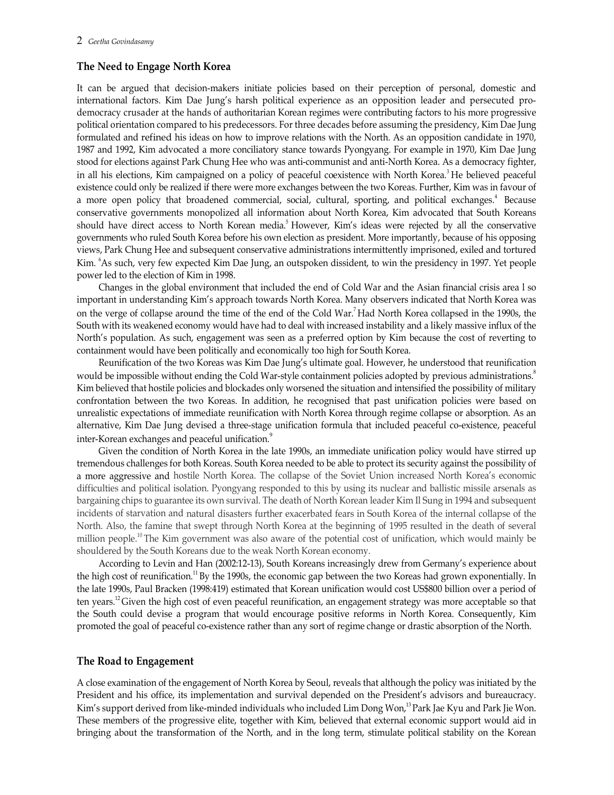## The Need to Engage North Korea

It can be argued that decision-makers initiate policies based on their perception of personal, domestic and international factors. Kim Dae Jung's harsh political experience as an opposition leader and persecuted prodemocracy crusader at the hands of authoritarian Korean regimes were contributing factors to his more progressive political orientation compared to his predecessors. For three decades before assuming the presidency, Kim Dae Jung formulated and refined his ideas on how to improve relations with the North. As an opposition candidate in 1970, 1987 and 1992, Kim advocated a more conciliatory stance towards Pyongyang. For example in 1970, Kim Dae Jung stood for elections against Park Chung Hee who was anti-communist and anti-North Korea. As a democracy fighter, in all his elections, Kim campaigned on a policy of peaceful coexistence with North Korea.<sup>3</sup> He believed peaceful existence could only be realized if there were more exchanges between the two Koreas. Further, Kim was in favour of a more open policy that broadened commercial, social, cultural, sporting, and political exchanges.<sup>4</sup> Because conservative governments monopolized all information about North Korea, Kim advocated that South Koreans should have direct access to North Korean media.<sup>5</sup> However, Kim's ideas were rejected by all the conservative governments who ruled South Korea before his own election as president. More importantly, because of his opposing views, Park Chung Hee and subsequent conservative administrations intermittently imprisoned, exiled and tortured Kim. <sup>6</sup>As such, very few expected Kim Dae Jung, an outspoken dissident, to win the presidency in 1997. Yet people power led to the election of Kim in 1998.

Changes in the global environment that included the end of Cold War and the Asian financial crisis area l so important in understanding Kim's approach towards North Korea. Many observers indicated that North Korea was on the verge of collapse around the time of the end of the Cold War.<sup>7</sup> Had North Korea collapsed in the 1990s, the South with its weakened economy would have had to deal with increased instability and a likely massive influx of the North's population. As such, engagement was seen as a preferred option by Kim because the cost of reverting to containment would have been politically and economically too high for South Korea.

Reunification of the two Koreas was Kim Dae Jung's ultimate goal. However, he understood that reunification would be impossible without ending the Cold War-style containment policies adopted by previous administrations.<sup>8</sup><br>Kim believed that hostile policies and blockades only worsened the situation and intensified the possibilit confrontation between the two Koreas. In addition, he recognised that past unification policies were based on unrealistic expectations of immediate reunification with North Korea through regime collapse or absorption. As an alternative, Kim Dae Jung devised a three-stage unification formula that included peaceful co-existence, peaceful inter-Korean exchanges and peaceful unification.<sup>9</sup>

Given the condition of North Korea in the late 1990s, an immediate unification policy would have stirred up tremendous challenges for both Koreas. South Korea needed to be able to protect its security against the possibility of a more aggressive and hostile North Korea. The collapse of the Soviet Union increased North Korea's economic difficulties and political isolation. Pyongyang responded to this by using its nuclear and ballistic missile arsenals as bargaining chips to guarantee its own survival. The death of North Korean leader Kim Il Sung in 1994 and subsequent incidents of starvation and natural disasters further exacerbated fears in South Korea of the internal collapse of the North. Also, the famine that swept through North Korea at the beginning of 1995 resulted in the death of several million people.10 The Kim government was also aware of the potential cost of unification, which would mainly be shouldered by the South Koreans due to the weak North Korean economy.

According to Levin and Han (2002:12-13), South Koreans increasingly drew from Germany's experience about the high cost of reunification.<sup>11</sup> By the 1990s, the economic gap between the two Koreas had grown exponentially. In the late 1990s, Paul Bracken (1998:419) estimated that Korean unification would cost US\$800 billion over a period of ten years.12 Given the high cost of even peaceful reunification, an engagement strategy was more acceptable so that the South could devise a program that would encourage positive reforms in North Korea. Consequently, Kim promoted the goal of peaceful co-existence rather than any sort of regime change or drastic absorption of the North.

## The Road to Engagement

A close examination of the engagement of North Korea by Seoul, reveals that although the policy was initiated by the President and his office, its implementation and survival depended on the President's advisors and bureaucracy. Kim's support derived from like-minded individuals who included Lim Dong Won,<sup>13</sup> Park Jae Kyu and Park Jie Won. These members of the progressive elite, together with Kim, believed that external economic support would aid in bringing about the transformation of the North, and in the long term, stimulate political stability on the Korean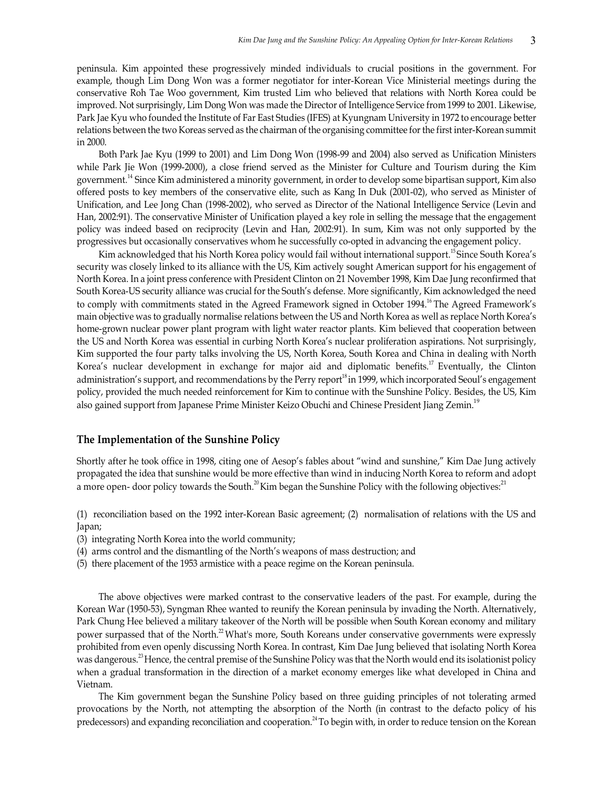peninsula. Kim appointed these progressively minded individuals to crucial positions in the government. For example, though Lim Dong Won was a former negotiator for inter-Korean Vice Ministerial meetings during the conservative Roh Tae Woo government, Kim trusted Lim who believed that relations with North Korea could be improved. Not surprisingly, Lim Dong Won was made the Director of Intelligence Service from 1999 to 2001. Likewise, Park Jae Kyu who founded the Institute of Far East Studies (IFES) at Kyungnam University in 1972 to encourage better relations between the two Koreas served as the chairman of the organising committee for the first inter-Korean summit in 2000.

Both Park Jae Kyu (1999 to 2001) and Lim Dong Won (1998-99 and 2004) also served as Unification Ministers while Park Jie Won (1999-2000), a close friend served as the Minister for Culture and Tourism during the Kim government.14 Since Kim administered a minority government, in order to develop some bipartisan support, Kim also offered posts to key members of the conservative elite, such as Kang In Duk (2001-02), who served as Minister of Unification, and Lee Jong Chan (1998-2002), who served as Director of the National Intelligence Service (Levin and Han, 2002:91). The conservative Minister of Unification played a key role in selling the message that the engagement policy was indeed based on reciprocity (Levin and Han, 2002:91). In sum, Kim was not only supported by the progressives but occasionally conservatives whom he successfully co-opted in advancing the engagement policy.

Kim acknowledged that his North Korea policy would fail without international support.<sup>15</sup> Since South Korea's security was closely linked to its alliance with the US, Kim actively sought American support for his engagement of North Korea. In a joint press conference with President Clinton on 21 November 1998, Kim Dae Jung reconfirmed that South Korea-US security alliance was crucial for the South's defense. More significantly, Kim acknowledged the need to comply with commitments stated in the Agreed Framework signed in October 1994.<sup>16</sup> The Agreed Framework's main objective was to gradually normalise relations between the US and North Korea as well as replace North Korea's home-grown nuclear power plant program with light water reactor plants. Kim believed that cooperation between the US and North Korea was essential in curbing North Korea's nuclear proliferation aspirations. Not surprisingly, Kim supported the four party talks involving the US, North Korea, South Korea and China in dealing with North Korea's nuclear development in exchange for major aid and diplomatic benefits.<sup>17</sup> Eventually, the Clinton administration's support, and recommendations by the Perry report<sup>18</sup> in 1999, which incorporated Seoul's engagement policy, provided the much needed reinforcement for Kim to continue with the Sunshine Policy. Besides, the US, Kim also gained support from Japanese Prime Minister Keizo Obuchi and Chinese President Jiang Zemin.<sup>19</sup>

#### The Implementation of the Sunshine Policy

Shortly after he took office in 1998, citing one of Aesop's fables about "wind and sunshine," Kim Dae Jung actively propagated the idea that sunshine would be more effective than wind in inducing North Korea to reform and adopt a more open- door policy towards the South.<sup>20</sup> Kim began the Sunshine Policy with the following objectives:<sup>21</sup> (1) reconciliation based on the 1992 inter-Korean Basic agreement; (2) normalisation of relations with the U

- Japan;
- (3) integrating North Korea into the world community;
- (4) arms control and the dismantling of the North's weapons of mass destruction; and
- (5) there placement of the 1953 armistice with a peace regime on the Korean peninsula.

The above objectives were marked contrast to the conservative leaders of the past. For example, during the Korean War (1950-53), Syngman Rhee wanted to reunify the Korean peninsula by invading the North. Alternatively, Park Chung Hee believed a military takeover of the North will be possible when South Korean economy and military power surpassed that of the North.<sup>22</sup> What's more, South Koreans under conservative governments were expressly prohibited from even openly discussing North Korea. In contrast, Kim Dae Jung believed that isolating North Korea was dangerous.<sup>23</sup> Hence, the central premise of the Sunshine Policy was that the North would end its isolationist policy when a gradual transformation in the direction of a market economy emerges like what developed in China and Vietnam.

The Kim government began the Sunshine Policy based on three guiding principles of not tolerating armed provocations by the North, not attempting the absorption of the North (in contrast to the defacto policy of his predecessors) and expanding reconciliation and cooperation.<sup>24</sup> To begin with, in order to reduce tension on the Korean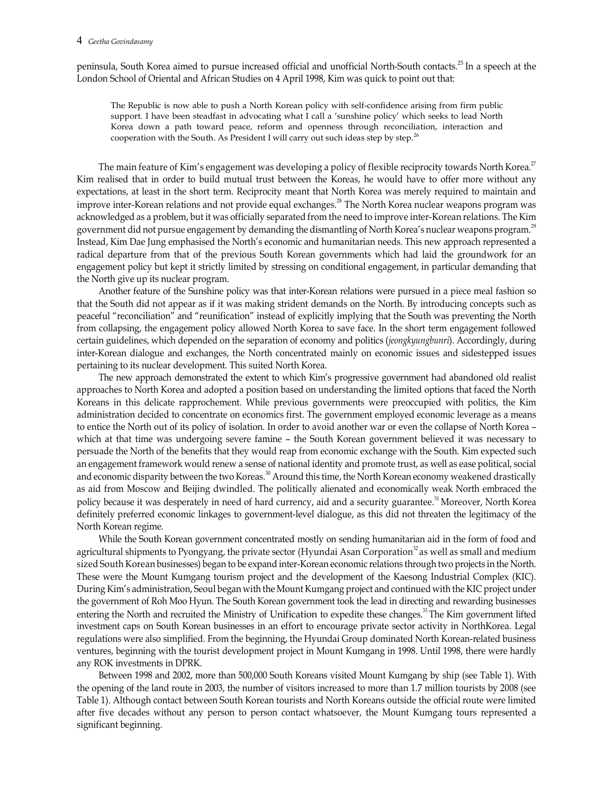peninsula, South Korea aimed to pursue increased official and unofficial North-South contacts.<sup>25</sup> In a speech at the London School of Oriental and African Studies on 4 April 1998, Kim was quick to point out that:

The Republic is now able to push a North Korean policy with self-confidence arising from firm public support. I have been steadfast in advocating what I call a 'sunshine policy' which seeks to lead North Korea down a path toward peace, reform and openness through reconciliation, interaction and cooperation with the South. As President I will carry out such ideas step by step.<sup>26</sup>

The main feature of Kim's engagement was developing a policy of flexible reciprocity towards North Korea.<sup>27</sup> Kim realised that in order to build mutual trust between the Koreas, he would have to offer more without any expectations, at least in the short term. Reciprocity meant that North Korea was merely required to maintain and improve inter-Korean relations and not provide equal exchanges.<sup>28</sup> The North Korea nuclear weapons program was acknowledged as a problem, but it was officially separated from the need to improve inter-Korean relations. The Kim government did not pursue engagement by demanding the dismantling of North Korea's nuclear weapons program.<sup>29</sup> Instead, Kim Dae Jung emphasised the North's economic and humanitarian needs. This new approach represented a radical departure from that of the previous South Korean governments which had laid the groundwork for an engagement policy but kept it strictly limited by stressing on conditional engagement, in particular demanding that the North give up its nuclear program.

Another feature of the Sunshine policy was that inter-Korean relations were pursued in a piece meal fashion so that the South did not appear as if it was making strident demands on the North. By introducing concepts such as peaceful "reconciliation" and "reunification" instead of explicitly implying that the South was preventing the North from collapsing, the engagement policy allowed North Korea to save face. In the short term engagement followed certain guidelines, which depended on the separation of economy and politics (jeongkyungbunri). Accordingly, during inter-Korean dialogue and exchanges, the North concentrated mainly on economic issues and sidestepped issues pertaining to its nuclear development. This suited North Korea.

The new approach demonstrated the extent to which Kim's progressive government had abandoned old realist approaches to North Korea and adopted a position based on understanding the limited options that faced the North Koreans in this delicate rapprochement. While previous governments were preoccupied with politics, the Kim administration decided to concentrate on economics first. The government employed economic leverage as a means to entice the North out of its policy of isolation. In order to avoid another war or even the collapse of North Korea – which at that time was undergoing severe famine – the South Korean government believed it was necessary to persuade the North of the benefits that they would reap from economic exchange with the South. Kim expected such an engagement framework would renew a sense of national identity and promote trust, as well as ease political, social and economic disparity between the two Koreas.<sup>30</sup> Around this time, the North Korean economy weakened drastically as aid from Moscow and Beijing dwindled. The politically alienated and economically weak North embraced the policy because it was desperately in need of hard currency, aid and a security guarantee.<sup>31</sup> Moreover, North Korea definitely preferred economic linkages to government-level dialogue, as this did not threaten the legitimacy of the North Korean regime.

While the South Korean government concentrated mostly on sending humanitarian aid in the form of food and agricultural shipments to Pyongyang, the private sector (Hyundai Asan Corporation<sup>32</sup> as well as small and medium sized South Korean businesses) began to be expand inter-Korean economic relations through two projects in the North. These were the Mount Kumgang tourism project and the development of the Kaesong Industrial Complex (KIC). During Kim's administration, Seoul began with the Mount Kumgang project and continued with the KIC project under the government of Roh Moo Hyun. The South Korean government took the lead in directing and rewarding businesses entering the North and recruited the Ministry of Unification to expedite these changes.<sup>33</sup> The Kim government lifted investment caps on South Korean businesses in an effort to encourage private sector activity in NorthKorea. Legal regulations were also simplified. From the beginning, the Hyundai Group dominated North Korean-related business ventures, beginning with the tourist development project in Mount Kumgang in 1998. Until 1998, there were hardly any ROK investments in DPRK.

Between 1998 and 2002, more than 500,000 South Koreans visited Mount Kumgang by ship (see Table 1). With the opening of the land route in 2003, the number of visitors increased to more than 1.7 million tourists by 2008 (see Table 1). Although contact between South Korean tourists and North Koreans outside the official route were limited after five decades without any person to person contact whatsoever, the Mount Kumgang tours represented a significant beginning.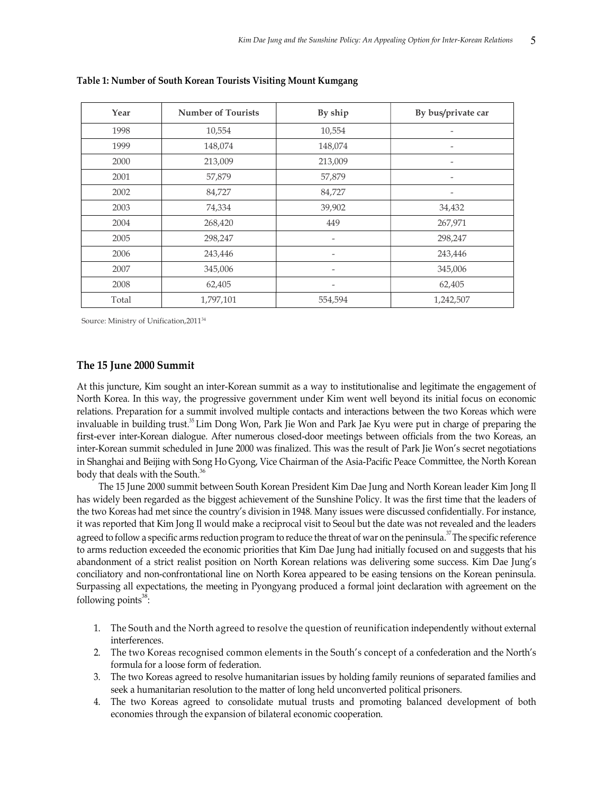| Year  | <b>Number of Tourists</b> | By ship                  | By bus/private car |
|-------|---------------------------|--------------------------|--------------------|
| 1998  | 10,554                    | 10,554                   |                    |
| 1999  | 148,074                   | 148,074                  | $\overline{a}$     |
| 2000  | 213,009                   | 213,009                  |                    |
| 2001  | 57,879                    | 57,879                   |                    |
| 2002  | 84,727                    | 84,727                   |                    |
| 2003  | 74,334                    | 39,902                   | 34,432             |
| 2004  | 268,420                   | 449                      | 267,971            |
| 2005  | 298,247                   | $\qquad \qquad =$        | 298,247            |
| 2006  | 243,446                   | $\overline{\phantom{a}}$ | 243,446            |
| 2007  | 345,006                   |                          | 345,006            |
| 2008  | 62,405                    | $\qquad \qquad$          | 62,405             |
| Total | 1,797,101                 | 554,594                  | 1,242,507          |

Table 1: Number of South Korean Tourists Visiting Mount Kumgang

Source: Ministry of Unification,2011<sup>34</sup>

### The 15 June 2000 Summit

At this juncture, Kim sought an inter-Korean summit as a way to institutionalise and legitimate the engagement of North Korea. In this way, the progressive government under Kim went well beyond its initial focus on economic relations. Preparation for a summit involved multiple contacts and interactions between the two Koreas which were invaluable in building trust.<sup>35</sup> Lim Dong Won, Park Jie Won and Park Jae Kyu were put in charge of preparing the first-ever inter-Korean dialogue. After numerous closed-door meetings between officials from the two Koreas, an inter-Korean summit scheduled in June 2000 was finalized. This was the result of Park Jie Won's secret negotiations in Shanghai and Beijing with Song Ho Gyong, Vice Chairman of the Asia-Pacific Peace Committee, the North Korean body that deals with the South.<sup>36</sup>

The 15 June 2000 summit between South Korean President Kim Dae Jung and North Korean leader Kim Jong Il has widely been regarded as the biggest achievement of the Sunshine Policy. It was the first time that the leaders of the two Koreas had met since the country's division in 1948. Many issues were discussed confidentially. For instance, it was reported that Kim Jong Il would make a reciprocal visit to Seoul but the date was not revealed and the leaders agreed to follow a specific arms reduction program to reduce the threat of war on the peninsula.<sup>37</sup> The specific reference to arms reduction exceeded the economic priorities that Kim Dae Jung had initially focused on and suggests that his abandonment of a strict realist position on North Korean relations was delivering some success. Kim Dae Jung's conciliatory and non-confrontational line on North Korea appeared to be easing tensions on the Korean peninsula. Surpassing all expectations, the meeting in Pyongyang produced a formal joint declaration with agreement on the following points $38$ : :

- 1. The South and the North agreed to resolve the question of reunification independently without external interferences.
- 2. The two Koreas recognised common elements in the South's concept of a confederation and the North's formula for a loose form of federation.
- 3. The two Koreas agreed to resolve humanitarian issues by holding family reunions of separated families and seek a humanitarian resolution to the matter of long held unconverted political prisoners.
- 4. The two Koreas agreed to consolidate mutual trusts and promoting balanced development of both economies through the expansion of bilateral economic cooperation.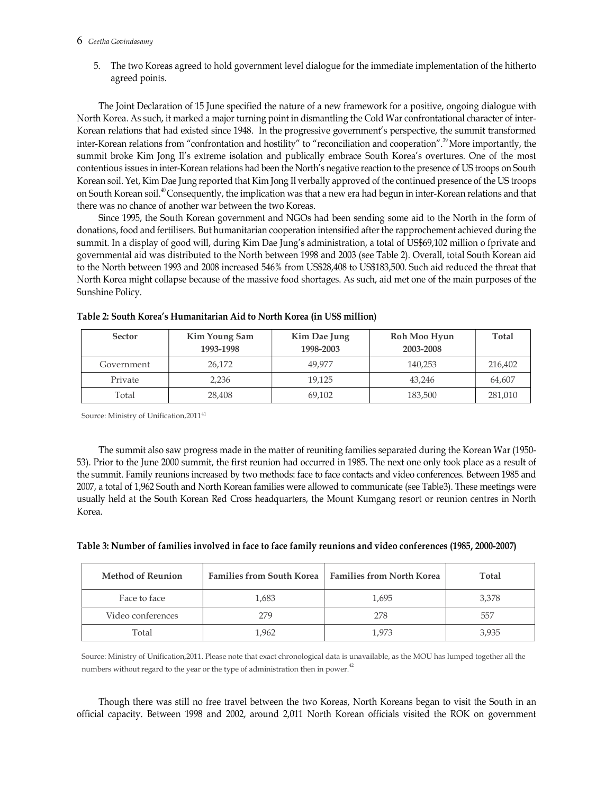#### 6 Geetha Govindasamy

5. The two Koreas agreed to hold government level dialogue for the immediate implementation of the hitherto agreed points.

The Joint Declaration of 15 June specified the nature of a new framework for a positive, ongoing dialogue with North Korea. As such, it marked a major turning point in dismantling the Cold War confrontational character of inter-Korean relations that had existed since 1948. In the progressive government's perspective, the summit transformed inter-Korean relations from "confrontation and hostility" to "reconciliation and cooperation".<sup>39</sup> More importantly, the summit broke Kim Jong Il's extreme isolation and publically embrace South Korea's overtures. One of the most contentious issues in inter-Korean relations had been the North's negative reaction to the presence of US troops on South Korean soil. Yet, Kim Dae Jung reported that Kim Jong Il verbally approved of the continued presence of the US troops on South Korean soil.40 Consequently, the implication was that a new era had begun in inter-Korean relations and that there was no chance of another war between the two Koreas.

Since 1995, the South Korean government and NGOs had been sending some aid to the North in the form of donations, food and fertilisers. But humanitarian cooperation intensified after the rapprochement achieved during the summit. In a display of good will, during Kim Dae Jung's administration, a total of US\$69,102 million o fprivate and governmental aid was distributed to the North between 1998 and 2003 (see Table 2). Overall, total South Korean aid to the North between 1993 and 2008 increased 546% from US\$28,408 to US\$183,500. Such aid reduced the threat that North Korea might collapse because of the massive food shortages. As such, aid met one of the main purposes of the Sunshine Policy.

| <b>Sector</b> | Kim Young Sam<br>1993-1998 | Kim Dae Jung<br>1998-2003 | Roh Moo Hyun<br>2003-2008 | <b>Total</b> |
|---------------|----------------------------|---------------------------|---------------------------|--------------|
| Government    | 26.172                     | 49.977                    | 140.253                   | 216,402      |
| Private       | 2.236                      | 19.125                    | 43,246                    | 64,607       |
| Total         | 28,408                     | 69,102                    | 183,500                   | 281,010      |

| Table 2: South Korea's Humanitarian Aid to North Korea (in US\$ million) |  |
|--------------------------------------------------------------------------|--|
|--------------------------------------------------------------------------|--|

Source: Ministry of Unification, 2011<sup>41</sup>

The summit also saw progress made in the matter of reuniting families separated during the Korean War (1950- 53). Prior to the June 2000 summit, the first reunion had occurred in 1985. The next one only took place as a result of the summit. Family reunions increased by two methods: face to face contacts and video conferences. Between 1985 and 2007, a total of 1,962 South and North Korean families were allowed to communicate (see Table3). These meetings were usually held at the South Korean Red Cross headquarters, the Mount Kumgang resort or reunion centres in North Korea.

| Table 3: Number of families involved in face to face family reunions and video conferences (1985, 2000-2007) |
|--------------------------------------------------------------------------------------------------------------|
|--------------------------------------------------------------------------------------------------------------|

| <b>Method of Reunion</b> | <b>Families from South Korea</b> | Families from North Korea | Total |
|--------------------------|----------------------------------|---------------------------|-------|
| Face to face             | 1,683                            | 1,695                     | 3,378 |
| Video conferences        | 279                              | 278                       | 557   |
| Total                    | 1,962                            | 1.973                     | 3.935 |

Source: Ministry of Unification,2011. Please note that exact chronological data is unavailable, as the MOU has lumped together all the numbers without regard to the year or the type of administration then in power.<sup>42</sup>

Though there was still no free travel between the two Koreas, North Koreans began to visit the South in an official capacity. Between 1998 and 2002, around 2,011 North Korean officials visited the ROK on government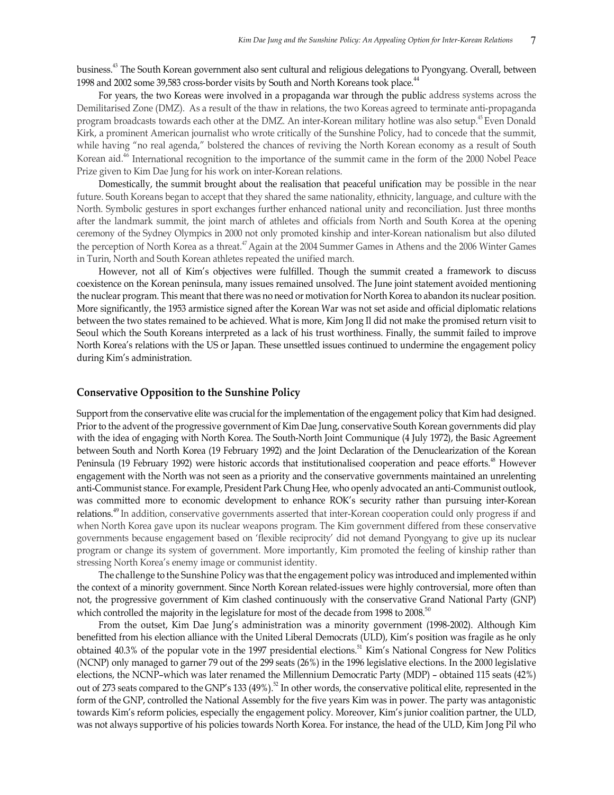business.43 The South Korean government also sent cultural and religious delegations to Pyongyang. Overall, between 1998 and 2002 some 39,583 cross-border visits by South and North Koreans took place.<sup>44</sup>

For years, the two Koreas were involved in a propaganda war through the public address systems across the Demilitarised Zone (DMZ). As a result of the thaw in relations, the two Koreas agreed to terminate anti-propaganda program broadcasts towards each other at the DMZ. An inter-Korean military hotline was also setup.45 Even Donald Kirk, a prominent American journalist who wrote critically of the Sunshine Policy, had to concede that the summit, while having "no real agenda," bolstered the chances of reviving the North Korean economy as a result of South Korean aid.<sup>46</sup> International recognition to the importance of the summit came in the form of the 2000 Nobel Peace Prize given to Kim Dae Jung for his work on inter-Korean relations.

Domestically, the summit brought about the realisation that peaceful unification may be possible in the near future. South Koreans began to accept that they shared the same nationality, ethnicity, language, and culture with the North. Symbolic gestures in sport exchanges further enhanced national unity and reconciliation. Just three months after the landmark summit, the joint march of athletes and officials from North and South Korea at the opening ceremony of the Sydney Olympics in 2000 not only promoted kinship and inter-Korean nationalism but also diluted the perception of North Korea as a threat.47 Again at the 2004 Summer Games in Athens and the 2006 Winter Games in Turin, North and South Korean athletes repeated the unified march.

However, not all of Kim's objectives were fulfilled. Though the summit created a framework to discuss coexistence on the Korean peninsula, many issues remained unsolved. The June joint statement avoided mentioning the nuclear program. This meant that there was no need or motivation for North Korea to abandon its nuclear position. More significantly, the 1953 armistice signed after the Korean War was not set aside and official diplomatic relations between the two states remained to be achieved. What is more, Kim Jong Il did not make the promised return visit to Seoul which the South Koreans interpreted as a lack of his trust worthiness. Finally, the summit failed to improve North Korea's relations with the US or Japan. These unsettled issues continued to undermine the engagement policy during Kim's administration.

#### Conservative Opposition to the Sunshine Policy

Support from the conservative elite was crucial for the implementation of the engagement policy that Kim had designed. Prior to the advent of the progressive government of Kim Dae Jung, conservative South Korean governments did play with the idea of engaging with North Korea. The South-North Joint Communique (4 July 1972), the Basic Agreement between South and North Korea (19 February 1992) and the Joint Declaration of the Denuclearization of the Korean Peninsula (19 February 1992) were historic accords that institutionalised cooperation and peace efforts.<sup>48</sup> However engagement with the North was not seen as a priority and the conservative governments maintained an unrelenting anti-Communist stance. For example, President Park Chung Hee, who openly advocated an anti-Communist outlook, was committed more to economic development to enhance ROK's security rather than pursuing inter-Korean relations.49 In addition, conservative governments asserted that inter-Korean cooperation could only progress if and when North Korea gave upon its nuclear weapons program. The Kim government differed from these conservative governments because engagement based on 'flexible reciprocity' did not demand Pyongyang to give up its nuclear program or change its system of government. More importantly, Kim promoted the feeling of kinship rather than stressing North Korea's enemy image or communist identity.

The challenge to the Sunshine Policy was that the engagement policy was introduced and implemented within the context of a minority government. Since North Korean related-issues were highly controversial, more often than not, the progressive government of Kim clashed continuously with the conservative Grand National Party (GNP) which controlled the majority in the legislature for most of the decade from 1998 to 2008.<sup>50</sup><br>From the outset, Kim Dae Jung's administration was a minority government (1998-2002). Although Kim

benefitted from his election alliance with the United Liberal Democrats (ULD), Kim's position was fragile as he only obtained 40.3% of the popular vote in the 1997 presidential elections.<sup>51</sup> Kim's National Congress for New Politics (NCNP) only managed to garner 79 out of the 299 seats (26%) in the 1996 legislative elections. In the 2000 legislative elections, the NCNP–which was later renamed the Millennium Democratic Party (MDP) – obtained 115 seats (42%) out of 273 seats compared to the GNP's 133 (49%).<sup>52</sup> In other words, the conservative political elite, represented in the form of the GNP, controlled the National Assembly for the five years Kim was in power. The party was antagonistic towards Kim's reform policies, especially the engagement policy. Moreover, Kim's junior coalition partner, the ULD, was not always supportive of his policies towards North Korea. For instance, the head of the ULD, Kim Jong Pil who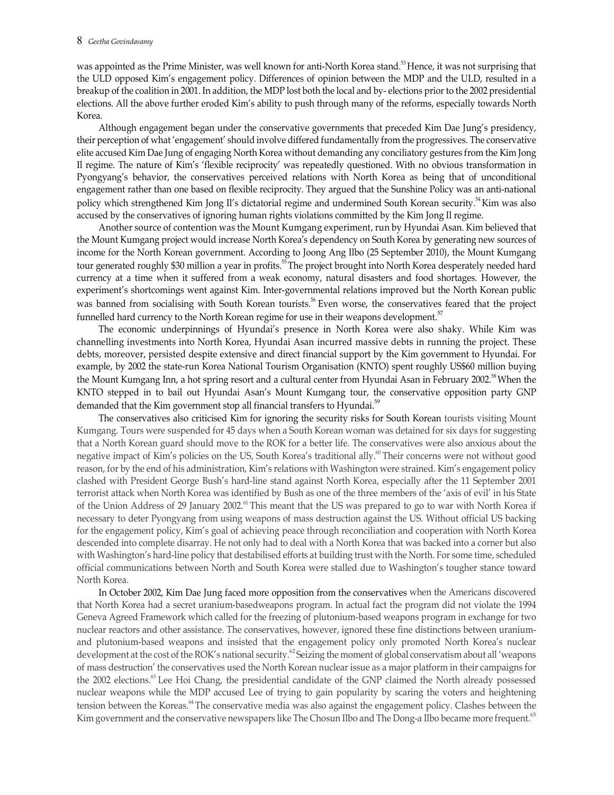was appointed as the Prime Minister, was well known for anti-North Korea stand.<sup>53</sup> Hence, it was not surprising that the ULD opposed Kim's engagement policy. Differences of opinion between the MDP and the ULD, resulted in a breakup of the coalition in 2001. In addition, the MDP lost both the local and by- elections prior to the 2002 presidential elections. All the above further eroded Kim's ability to push through many of the reforms, especially towards North Korea.

Although engagement began under the conservative governments that preceded Kim Dae Jung's presidency, their perception of what 'engagement' should involve differed fundamentally from the progressives. The conservative elite accused Kim Dae Jung of engaging North Korea without demanding any conciliatory gestures from the Kim Jong Il regime. The nature of Kim's 'flexible reciprocity' was repeatedly questioned. With no obvious transformation in Pyongyang's behavior, the conservatives perceived relations with North Korea as being that of unconditional engagement rather than one based on flexible reciprocity. They argued that the Sunshine Policy was an anti-national policy which strengthened Kim Jong II's dictatorial regime and undermined South Korean security.<sup>54</sup> Kim was also accused by the conservatives of ignoring human rights violations committed by the Kim Jong Il regime.

Another source of contention was the Mount Kumgang experiment, run by Hyundai Asan. Kim believed that the Mount Kumgang project would increase North Korea's dependency on South Korea by generating new sources of income for the North Korean government. According to Joong Ang Ilbo (25 September 2010), the Mount Kumgang tour generated roughly \$30 million a year in profits.<sup>55</sup> The project brought into North Korea desperately needed hard currency at a time when it suffered from a weak economy, natural disasters and food shortages. However, the experiment's shortcomings went against Kim. Inter-governmental relations improved but the North Korean public was banned from socialising with South Korean tourists.<sup>56</sup> Even worse, the conservatives feared that the project funnelled hard currency to the North Korean regime for use in their weapons development.<sup>57</sup>

The economic underpinnings of Hyundai's presence in North Korea were also shaky. While Kim was channelling investments into North Korea, Hyundai Asan incurred massive debts in running the project. These debts, moreover, persisted despite extensive and direct financial support by the Kim government to Hyundai. For example, by 2002 the state-run Korea National Tourism Organisation (KNTO) spent roughly US\$60 million buying the Mount Kumgang Inn, a hot spring resort and a cultural center from Hyundai Asan in February 2002.<sup>58</sup> When the KNTO stepped in to bail out Hyundai Asan's Mount Kumgang tour, the conservative opposition party GNP demanded that the Kim government stop all financial transfers to Hyundai.<sup>59</sup>

The conservatives also criticised Kim for ignoring the security risks for South Korean tourists visiting Mount Kumgang. Tours were suspended for 45 days when a South Korean woman was detained for six days for suggesting that a North Korean guard should move to the ROK for a better life. The conservatives were also anxious about the negative impact of Kim's policies on the US, South Korea's traditional ally.<sup>60</sup> Their concerns were not without good reason, for by the end of his administration, Kim's relations with Washington were strained. Kim's engagement policy clashed with President George Bush's hard-line stand against North Korea, especially after the 11 September 2001 terrorist attack when North Korea was identified by Bush as one of the three members of the 'axis of evil' in his State of the Union Address of 29 January 2002.<sup>61</sup> This meant that the US was prepared to go to war with North Korea if necessary to deter Pyongyang from using weapons of mass destruction against the US. Without official US backing for the engagement policy, Kim's goal of achieving peace through reconciliation and cooperation with North Korea descended into complete disarray. He not only had to deal with a North Korea that was backed into a corner but also with Washington's hard-line policy that destabilised efforts at building trust with the North. For some time, scheduled official communications between North and South Korea were stalled due to Washington's tougher stance toward North Korea.

In October 2002, Kim Dae Jung faced more opposition from the conservatives when the Americans discovered that North Korea had a secret uranium-basedweapons program. In actual fact the program did not violate the 1994 Geneva Agreed Framework which called for the freezing of plutonium-based weapons program in exchange for two nuclear reactors and other assistance. The conservatives, however, ignored these fine distinctions between uraniumand plutonium-based weapons and insisted that the engagement policy only promoted North Korea's nuclear development at the cost of the ROK's national security.<sup>62</sup> Seizing the moment of global conservatism about all 'weapons of mass destruction' the conservatives used the North Korean nuclear issue as a major platform in their campaigns for the 2002 elections.<sup>63</sup> Lee Hoi Chang, the presidential candidate of the GNP claimed the North already possessed nuclear weapons while the MDP accused Lee of trying to gain popularity by scaring the voters and heightening tension between the Koreas.<sup>64</sup> The conservative media was also against the engagement policy. Clashes between the Kim government and the conservative newspapers like The Chosun Ilbo and The Dong-a Ilbo became more frequent.<sup>65</sup>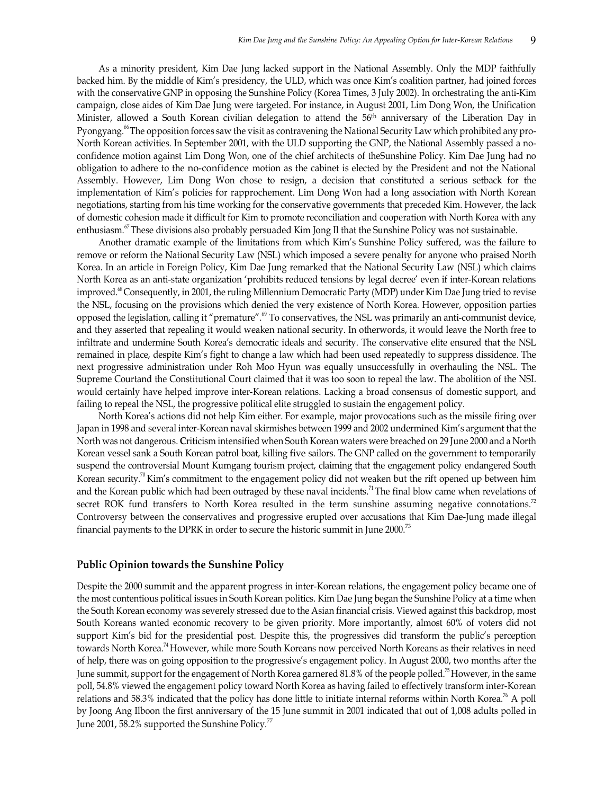As a minority president, Kim Dae Jung lacked support in the National Assembly. Only the MDP faithfully backed him. By the middle of Kim's presidency, the ULD, which was once Kim's coalition partner, had joined forces with the conservative GNP in opposing the Sunshine Policy (Korea Times, 3 July 2002). In orchestrating the anti-Kim campaign, close aides of Kim Dae Jung were targeted. For instance, in August 2001, Lim Dong Won, the Unification Minister, allowed a South Korean civilian delegation to attend the 56<sup>th</sup> anniversary of the Liberation Day in Pyongyang.<sup>66</sup> The opposition forces saw the visit as contravening the National Security Law which prohibited any pro-North Korean activities. In September 2001, with the ULD supporting the GNP, the National Assembly passed a noconfidence motion against Lim Dong Won, one of the chief architects of theSunshine Policy. Kim Dae Jung had no obligation to adhere to the no-confidence motion as the cabinet is elected by the President and not the National Assembly. However, Lim Dong Won chose to resign, a decision that constituted a serious setback for the implementation of Kim's policies for rapprochement. Lim Dong Won had a long association with North Korean negotiations, starting from his time working for the conservative governments that preceded Kim. However, the lack of domestic cohesion made it difficult for Kim to promote reconciliation and cooperation with North Korea with any enthusiasm.<sup>67</sup> These divisions also probably persuaded Kim Jong Il that the Sunshine Policy was not sustainable.

Another dramatic example of the limitations from which Kim's Sunshine Policy suffered, was the failure to remove or reform the National Security Law (NSL) which imposed a severe penalty for anyone who praised North Korea. In an article in Foreign Policy, Kim Dae Jung remarked that the National Security Law (NSL) which claims North Korea as an anti-state organization 'prohibits reduced tensions by legal decree' even if inter-Korean relations improved.<sup>68</sup> Consequently, in 2001, the ruling Millennium Democratic Party (MDP) under Kim Dae Jung tried to revise the NSL, focusing on the provisions which denied the very existence of North Korea. However, opposition parties opposed the legislation, calling it "premature".<sup>69</sup> To conservatives, the NSL was primarily an anti-communist device, and they asserted that repealing it would weaken national security. In otherwords, it would leave the North free to infiltrate and undermine South Korea's democratic ideals and security. The conservative elite ensured that the NSL remained in place, despite Kim's fight to change a law which had been used repeatedly to suppress dissidence. The next progressive administration under Roh Moo Hyun was equally unsuccessfully in overhauling the NSL. The Supreme Courtand the Constitutional Court claimed that it was too soon to repeal the law. The abolition of the NSL would certainly have helped improve inter-Korean relations. Lacking a broad consensus of domestic support, and failing to repeal the NSL, the progressive political elite struggled to sustain the engagement policy.

North Korea's actions did not help Kim either. For example, major provocations such as the missile firing over Japan in 1998 and several inter-Korean naval skirmishes between 1999 and 2002 undermined Kim's argument that the North was not dangerous. Criticism intensified when South Korean waters were breached on 29 June 2000 and a North Korean vessel sank a South Korean patrol boat, killing five sailors. The GNP called on the government to temporarily suspend the controversial Mount Kumgang tourism project, claiming that the engagement policy endangered South Korean security.<sup>70</sup> Kim's commitment to the engagement policy did not weaken but the rift opened up between him and the Korean public which had been outraged by these naval incidents.<sup>71</sup> The final blow came when revelations of secret ROK fund transfers to North Korea resulted in the term sunshine assuming negative connotations.<sup>72</sup> Controversy between the conservatives and progressive erupted over accusations that Kim Dae-Jung made illegal financial payments to the DPRK in order to secure the historic summit in June 2000.<sup>73</sup>

#### Public Opinion towards the Sunshine Policy

Despite the 2000 summit and the apparent progress in inter-Korean relations, the engagement policy became one of the most contentious political issues in South Korean politics. Kim Dae Jung began the Sunshine Policy at a time when the South Korean economy was severely stressed due to the Asian financial crisis. Viewed against this backdrop, most South Koreans wanted economic recovery to be given priority. More importantly, almost 60% of voters did not support Kim's bid for the presidential post. Despite this, the progressives did transform the public's perception towards North Korea.<sup>74</sup> However, while more South Koreans now perceived North Koreans as their relatives in need of help, there was on going opposition to the progressive's engagement policy. In August 2000, two months after the June summit, support for the engagement of North Korea garnered 81.8% of the people polled.75 However, in the same poll, 54.8% viewed the engagement policy toward North Korea as having failed to effectively transform inter-Korean relations and 58.3% indicated that the policy has done little to initiate internal reforms within North Korea.76 A poll by Joong Ang Ilboon the first anniversary of the 15 June summit in 2001 indicated that out of 1,008 adults polled in June 2001, 58.2% supported the Sunshine Policy.<sup>77</sup>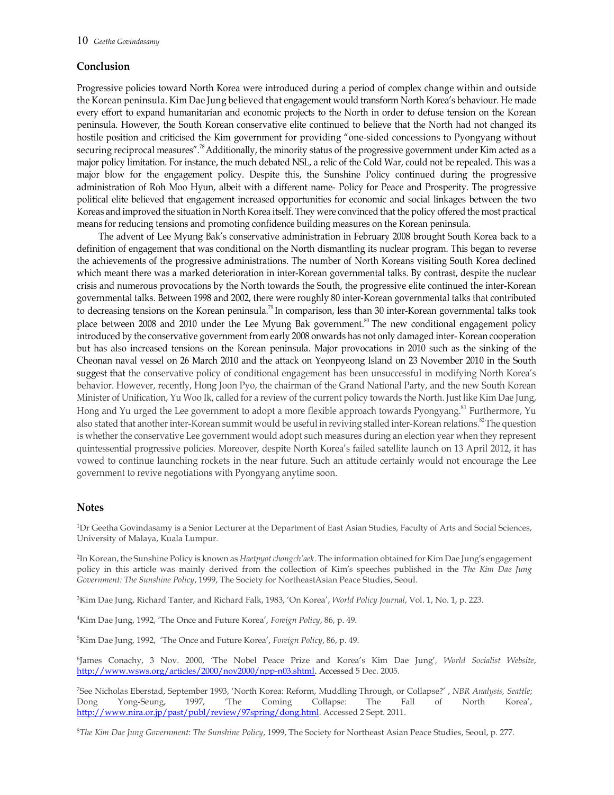# Conclusion

Progressive policies toward North Korea were introduced during a period of complex change within and outside the Korean peninsula. Kim Dae Jung believed that engagement would transform North Korea's behaviour. He made every effort to expand humanitarian and economic projects to the North in order to defuse tension on the Korean peninsula. However, the South Korean conservative elite continued to believe that the North had not changed its hostile position and criticised the Kim government for providing "one-sided concessions to Pyongyang without securing reciprocal measures".<sup>78</sup> Additionally, the minority status of the progressive government under Kim acted as a major policy limitation. For instance, the much debated NSL, a relic of the Cold War, could not be repealed. This was a major blow for the engagement policy. Despite this, the Sunshine Policy continued during the progressive administration of Roh Moo Hyun, albeit with a different name- Policy for Peace and Prosperity. The progressive political elite believed that engagement increased opportunities for economic and social linkages between the two Koreas and improved the situation in North Korea itself. They were convinced that the policy offered the most practical means for reducing tensions and promoting confidence building measures on the Korean peninsula.

The advent of Lee Myung Bak's conservative administration in February 2008 brought South Korea back to a definition of engagement that was conditional on the North dismantling its nuclear program. This began to reverse the achievements of the progressive administrations. The number of North Koreans visiting South Korea declined which meant there was a marked deterioration in inter-Korean governmental talks. By contrast, despite the nuclear crisis and numerous provocations by the North towards the South, the progressive elite continued the inter-Korean governmental talks. Between 1998 and 2002, there were roughly 80 inter-Korean governmental talks that contributed to decreasing tensions on the Korean peninsula.<sup>79</sup> In comparison, less than 30 inter-Korean governmental talks took place between 2008 and 2010 under the Lee Myung Bak government.<sup>80</sup> The new conditional engagement policy introduced by the conservative government from early 2008 onwards has not only damaged inter- Korean cooperation but has also increased tensions on the Korean peninsula. Major provocations in 2010 such as the sinking of the Cheonan naval vessel on 26 March 2010 and the attack on Yeonpyeong Island on 23 November 2010 in the South suggest that the conservative policy of conditional engagement has been unsuccessful in modifying North Korea's behavior. However, recently, Hong Joon Pyo, the chairman of the Grand National Party, and the new South Korean Minister of Unification, Yu Woo Ik, called for a review of the current policy towards the North. Just like Kim Dae Jung, Hong and Yu urged the Lee government to adopt a more flexible approach towards Pyongyang.<sup>81</sup> Furthermore, Yu also stated that another inter-Korean summit would be useful in reviving stalled inter-Korean relations.<sup>82</sup> The question is whether the conservative Lee government would adopt such measures during an election year when they represent quintessential progressive policies. Moreover, despite North Korea's failed satellite launch on 13 April 2012, it has vowed to continue launching rockets in the near future. Such an attitude certainly would not encourage the Lee government to revive negotiations with Pyongyang anytime soon.

## Notes

<sup>1</sup>Dr Geetha Govindasamy is a Senior Lecturer at the Department of East Asian Studies, Faculty of Arts and Social Sciences, University of Malaya, Kuala Lumpur.

<sup>2</sup>In Korean, the Sunshine Policy is known as Haetpyot chongch'aek. The information obtained for Kim Dae Jung's engagement policy in this article was mainly derived from the collection of Kim's speeches published in the The Kim Dae Jung Government: The Sunshine Policy, 1999, The Society for NortheastAsian Peace Studies, Seoul.

<sup>3</sup>Kim Dae Jung, Richard Tanter, and Richard Falk, 1983, 'On Korea', World Policy Journal, Vol. 1, No. 1, p. 223.

<sup>4</sup>Kim Dae Jung, 1992, 'The Once and Future Korea', Foreign Policy, 86, p. 49.

<sup>5</sup>Kim Dae Jung, 1992, 'The Once and Future Korea', Foreign Policy, 86, p. 49.

<sup>6</sup>James Conachy, 3 Nov. 2000, 'The Nobel Peace Prize and Korea's Kim Dae Jung', World Socialist Website, http://www.wsws.org/articles/2000/nov2000/npp-n03.shtml. Accessed 5 Dec. 2005.

<sup>7</sup>See Nicholas Eberstad, September 1993, 'North Korea: Reform, Muddling Through, or Collapse?' , NBR Analysis, Seattle; Dong Yong-Seung, 1997, 'The Coming Collapse: The Fall of North Korea', http://www.nira.or.jp/past/publ/review/97spring/dong.html. Accessed 2 Sept. 2011.

<sup>8</sup>The Kim Dae Jung Government: The Sunshine Policy, 1999, The Society for Northeast Asian Peace Studies, Seoul, p. 277.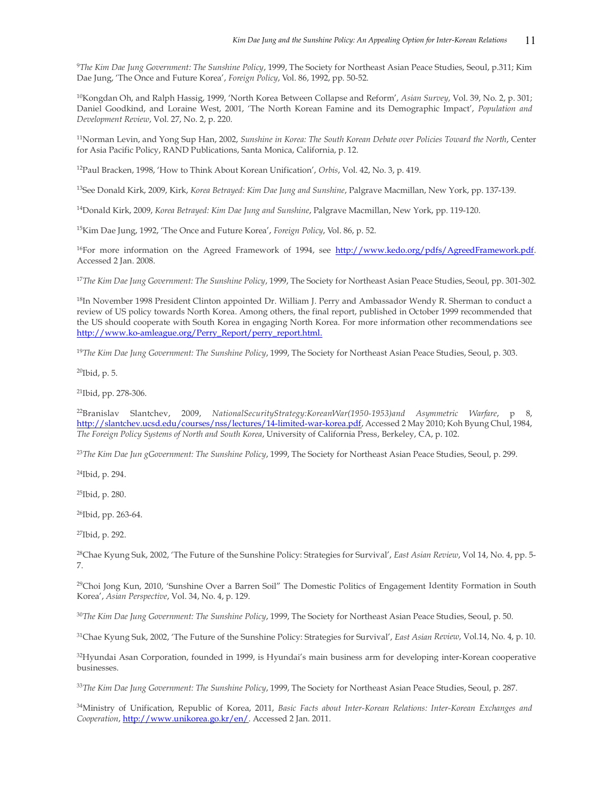<sup>9</sup>The Kim Dae Jung Government: The Sunshine Policy, 1999, The Society for Northeast Asian Peace Studies, Seoul, p.311; Kim Dae Jung, 'The Once and Future Korea', Foreign Policy, Vol. 86, 1992, pp. 50-52.

<sup>10</sup>Kongdan Oh, and Ralph Hassig, 1999, 'North Korea Between Collapse and Reform', Asian Survey, Vol. 39, No. 2, p. 301; Daniel Goodkind, and Loraine West, 2001, 'The North Korean Famine and its Demographic Impact', Population and Development Review, Vol. 27, No. 2, p. 220.

<sup>11</sup>Norman Levin, and Yong Sup Han, 2002, Sunshine in Korea: The South Korean Debate over Policies Toward the North, Center for Asia Pacific Policy, RAND Publications, Santa Monica, California, p. 12.

<sup>12</sup>Paul Bracken, 1998, 'How to Think About Korean Unification', Orbis, Vol. 42, No. 3, p. 419.

<sup>13</sup>See Donald Kirk, 2009, Kirk, Korea Betrayed: Kim Dae Jung and Sunshine, Palgrave Macmillan, New York, pp. 137-139.

<sup>14</sup>Donald Kirk, 2009, Korea Betrayed: Kim Dae Jung and Sunshine, Palgrave Macmillan, New York, pp. 119-120.

<sup>15</sup>Kim Dae Jung, 1992, 'The Once and Future Korea', Foreign Policy, Vol. 86, p. 52.

<sup>16</sup>For more information on the Agreed Framework of 1994, see http://www.kedo.org/pdfs/AgreedFramework.pdf. Accessed 2 Jan. 2008.

<sup>17</sup>The Kim Dae Jung Government: The Sunshine Policy, 1999, The Society for Northeast Asian Peace Studies, Seoul, pp. 301-302.

<sup>18</sup>In November 1998 President Clinton appointed Dr. William J. Perry and Ambassador Wendy R. Sherman to conduct a review of US policy towards North Korea. Among others, the final report, published in October 1999 recommended that the US should cooperate with South Korea in engaging North Korea. For more information other recommendations see http://www.ko-amleague.org/Perry\_Report/perry\_report.html.

<sup>19</sup>The Kim Dae Jung Government: The Sunshine Policy, 1999, The Society for Northeast Asian Peace Studies, Seoul, p. 303.

 $20$ Ibid, p. 5.

<sup>21</sup>Ibid, pp. 278-306.

 $^{22}$ Branislav Slantchev, 2009, NationalSecurityStrategy:KoreanWar(1950-1953)and Asymmetric Warfare, p 8, http://slantchev.ucsd.edu/courses/nss/lectures/14-limited-war-korea.pdf, Accessed 2 May 2010; Koh Byung Chul, 1984, The Foreign Policy Systems of North and South Korea, University of California Press, Berkeley, CA, p. 102.

<sup>23</sup>The Kim Dae Jun gGovernment: The Sunshine Policy, 1999, The Society for Northeast Asian Peace Studies, Seoul, p. 299.

<sup>24</sup>Ibid, p. 294.

<sup>25</sup>Ibid, p. 280.

<sup>26</sup>Ibid, pp. 263-64.

<sup>27</sup>Ibid, p. 292.

<sup>28</sup>Chae Kyung Suk, 2002, 'The Future of the Sunshine Policy: Strategies for Survival', East Asian Review, Vol 14, No. 4, pp. 5-7.

<sup>29</sup>Choi Jong Kun, 2010, 'Sunshine Over a Barren Soil" The Domestic Politics of Engagement Identity Formation in South Korea', Asian Perspective, Vol. 34, No. 4, p. 129.

<sup>30</sup>The Kim Dae Jung Government: The Sunshine Policy, 1999, The Society for Northeast Asian Peace Studies, Seoul, p. 50.

<sup>31</sup>Chae Kyung Suk, 2002, 'The Future of the Sunshine Policy: Strategies for Survival', East Asian Review, Vol.14, No. 4, p. 10.

<sup>32</sup>Hyundai Asan Corporation, founded in 1999, is Hyundai's main business arm for developing inter-Korean cooperative businesses.

<sup>33</sup>The Kim Dae Jung Government: The Sunshine Policy, 1999, The Society for Northeast Asian Peace Studies, Seoul, p. 287.

<sup>34</sup>Ministry of Unification, Republic of Korea, 2011, Basic Facts about Inter-Korean Relations: Inter-Korean Exchanges and Cooperation, http://www.unikorea.go.kr/en/. Accessed 2 Jan. 2011.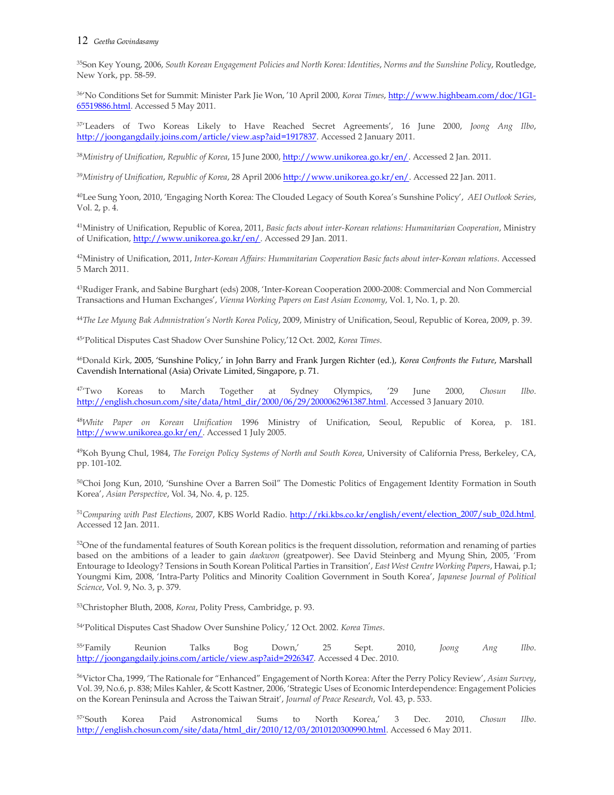#### 12 Geetha Govindasamy

<sup>35</sup>Son Key Young, 2006, South Korean Engagement Policies and North Korea: Identities, Norms and the Sunshine Policy, Routledge, New York, pp. 58-59.

<sup>36</sup>'No Conditions Set for Summit: Minister Park Jie Won, '10 April 2000, Korea Times, http://www.highbeam.com/doc/1G1- 65519886.html. Accessed 5 May 2011.

<sup>37</sup>'Leaders of Two Koreas Likely to Have Reached Secret Agreements', 16 June 2000, Joong Ang Ilbo, http://joongangdaily.joins.com/article/view.asp?aid=1917837. Accessed 2 January 2011.

<sup>38</sup>Ministry of Unification, Republic of Korea, 15 June 2000, http://www.unikorea.go.kr/en/. Accessed 2 Jan. 2011.

<sup>39</sup>Ministry of Unification, Republic of Korea, 28 April 2006 http://www.unikorea.go.kr/en/. Accessed 22 Jan. 2011.

<sup>40</sup>Lee Sung Yoon, 2010, 'Engaging North Korea: The Clouded Legacy of South Korea's Sunshine Policy', AEI Outlook Series, Vol. 2, p. 4.

<sup>41</sup>Ministry of Unification, Republic of Korea, 2011, Basic facts about inter-Korean relations: Humanitarian Cooperation, Ministry of Unification, http://www.unikorea.go.kr/en/. Accessed 29 Jan. 2011.

42Ministry of Unification, 2011, Inter-Korean Affairs: Humanitarian Cooperation Basic facts about inter-Korean relations. Accessed 5 March 2011.

<sup>43</sup>Rudiger Frank, and Sabine Burghart (eds) 2008, 'Inter-Korean Cooperation 2000-2008: Commercial and Non Commercial Transactions and Human Exchanges', Vienna Working Papers on East Asian Economy, Vol. 1, No. 1, p. 20.

<sup>44</sup>The Lee Myung Bak Admnistration's North Korea Policy, 2009, Ministry of Unification, Seoul, Republic of Korea, 2009, p. 39.

<sup>45</sup>'Political Disputes Cast Shadow Over Sunshine Policy,'12 Oct. 2002, Korea Times.

<sup>46</sup>Donald Kirk, 2005, 'Sunshine Policy,' in John Barry and Frank Jurgen Richter (ed.), Korea Confronts the Future, Marshall Cavendish International (Asia) Orivate Limited, Singapore, p. 71.

<sup>47</sup>Two Koreas to March Together at Sydney Olympics, '29 June 2000, Chosun Ilbo. http://english.chosun.com/site/data/html\_dir/2000/06/29/2000062961387.html. Accessed 3 January 2010.

<sup>48</sup>White Paper on Korean Unification 1996 Ministry of Unification, Seoul, Republic of Korea, p. 181. http://www.unikorea.go.kr/en/. Accessed 1 July 2005.

<sup>49</sup>Koh Byung Chul, 1984, The Foreign Policy Systems of North and South Korea, University of California Press, Berkeley, CA, pp. 101-102.

<sup>50</sup>Choi Jong Kun, 2010, 'Sunshine Over a Barren Soil" The Domestic Politics of Engagement Identity Formation in South Korea', Asian Perspective, Vol. 34, No. 4, p. 125.

51Comparing with Past Elections, 2007, KBS World Radio. http://rki.kbs.co.kr/english/event/election\_2007/sub\_02d.html. Accessed 12 Jan. 2011.

<sup>52</sup>One of the fundamental features of South Korean politics is the frequent dissolution, reformation and renaming of parties based on the ambitions of a leader to gain daekwon (greatpower). See David Steinberg and Myung Shin, 2005, 'From Entourage to Ideology? Tensions in South Korean Political Parties in Transition', East West Centre Working Papers, Hawai, p.1; Youngmi Kim, 2008, 'Intra-Party Politics and Minority Coalition Government in South Korea', Japanese Journal of Political Science, Vol. 9, No. 3, p. 379.

<sup>53</sup>Christopher Bluth, 2008, Korea, Polity Press, Cambridge, p. 93.

<sup>54</sup>'Political Disputes Cast Shadow Over Sunshine Policy,' 12 Oct. 2002. Korea Times.

<sup>55</sup>'Family Reunion Talks Bog Down,' 25 Sept. 2010, Joong Ang Ilbo. http://joongangdaily.joins.com/article/view.asp?aid=2926347. Accessed 4 Dec. 2010.

<sup>56</sup>Victor Cha, 1999, 'The Rationale for "Enhanced" Engagement of North Korea: After the Perry Policy Review', Asian Survey, Vol. 39, No.6, p. 838; Miles Kahler, & Scott Kastner, 2006, 'Strategic Uses of Economic Interdependence: Engagement Policies on the Korean Peninsula and Across the Taiwan Strait', Journal of Peace Research, Vol. 43, p. 533.

57'South Korea Paid Astronomical Sums to North Korea,' 3 Dec. 2010, Chosun Ilbo. http://english.chosun.com/site/data/html\_dir/2010/12/03/2010120300990.html. Accessed 6 May 2011.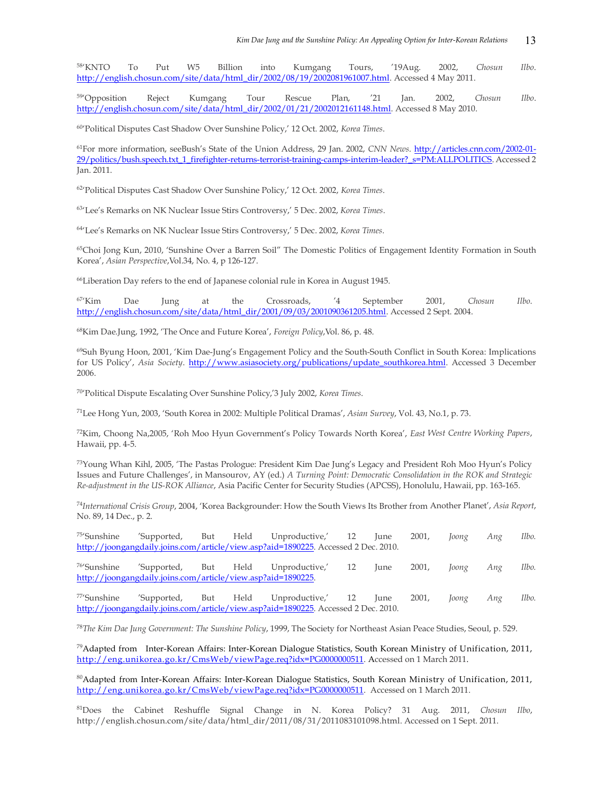58'KNTO To Put W5 Billion into Kumgang Tours, '19Aug. 2002, Chosun Ilbo. http://english.chosun.com/site/data/html\_dir/2002/08/19/2002081961007.html. Accessed 4 May 2011.

<sup>59</sup>'Opposition Reject Kumgang Tour Rescue Plan, '21 Jan. 2002, Chosun Ilbo. http://english.chosun.com/site/data/html\_dir/2002/01/21/2002012161148.html. Accessed 8 May 2010.

<sup>60</sup>'Political Disputes Cast Shadow Over Sunshine Policy,' 12 Oct. 2002, Korea Times.

<sup>61</sup>For more information, seeBush's State of the Union Address, 29 Jan. 2002, CNN News. http://articles.cnn.com/2002-01-29/politics/bush.speech.txt\_1\_firefighter-returns-terrorist-training-camps-interim-leader?\_s=PM:ALLPOLITICS. Accessed 2 Jan. 2011.

<sup>62</sup>'Political Disputes Cast Shadow Over Sunshine Policy,' 12 Oct. 2002, Korea Times.

<sup>63</sup>'Lee's Remarks on NK Nuclear Issue Stirs Controversy,' 5 Dec. 2002, Korea Times.

<sup>64</sup>'Lee's Remarks on NK Nuclear Issue Stirs Controversy,' 5 Dec. 2002, Korea Times.

<sup>65</sup>Choi Jong Kun, 2010, 'Sunshine Over a Barren Soil" The Domestic Politics of Engagement Identity Formation in South Korea', Asian Perspective,Vol.34, No. 4, p 126-127.

<sup>66</sup>Liberation Day refers to the end of Japanese colonial rule in Korea in August 1945.

 $67\text{Kim}$  Dae Jung at the Crossroads, '4 September 2001, Chosun Ilbo. http://english.chosun.com/site/data/html\_dir/2001/09/03/2001090361205.html. Accessed 2 Sept. 2004.

<sup>68</sup>Kim Dae.Jung, 1992, 'The Once and Future Korea', Foreign Policy,Vol. 86, p. 48.

<sup>69</sup>Suh Byung Hoon, 2001, 'Kim Dae-Jung's Engagement Policy and the South-South Conflict in South Korea: Implications for US Policy', Asia Society. http://www.asiasociety.org/publications/update\_southkorea.html. Accessed 3 December 2006.

<sup>70</sup>'Political Dispute Escalating Over Sunshine Policy,'3 July 2002, Korea Times.

<sup>71</sup>Lee Hong Yun, 2003, 'South Korea in 2002: Multiple Political Dramas', Asian Survey, Vol. 43, No.1, p. 73.

<sup>72</sup>Kim, Choong Na,2005, 'Roh Moo Hyun Government's Policy Towards North Korea', East West Centre Working Papers, Hawaii, pp. 4-5.

<sup>73</sup>Young Whan Kihl, 2005, 'The Pastas Prologue: President Kim Dae Jung's Legacy and President Roh Moo Hyun's Policy Issues and Future Challenges', in Mansourov, AY (ed.) A Turning Point: Democratic Consolidation in the ROK and Strategic Re-adjustment in the US-ROK Alliance, Asia Pacific Center for Security Studies (APCSS), Honolulu, Hawaii, pp. 163-165.

 $^{74}$ International Crisis Group, 2004, 'Korea Backgrounder: How the South Views Its Brother from Another Planet', Asia Report, No. 89, 14 Dec., p. 2.

|  |  | 75' Sunshine 'Supported, But Held Unproductive,' 12 June 2001, Joong Ang Ilbo.     |  |  |  |
|--|--|------------------------------------------------------------------------------------|--|--|--|
|  |  | http://joongangdaily.joins.com/article/view.asp?aid=1890225. Accessed 2 Dec. 2010. |  |  |  |

<sup>76</sup>'Sunshine 'Supported, But Held Unproductive,' 12 June 2001, Joong Ang Ilbo. http://joongangdaily.joins.com/article/view.asp?aid=1890225.

<sup>77</sup>'Sunshine 'Supported, But Held Unproductive,' 12 June 2001, Joong Ang Ilbo. http://joongangdaily.joins.com/article/view.asp?aid=1890225. Accessed 2 Dec. 2010.

<sup>78</sup>The Kim Dae Jung Government: The Sunshine Policy, 1999, The Society for Northeast Asian Peace Studies, Seoul, p. 529.

<sup>79</sup>Adapted from Inter-Korean Affairs: Inter-Korean Dialogue Statistics, South Korean Ministry of Unification, 2011, http://eng.unikorea.go.kr/CmsWeb/viewPage.req?idx=PG0000000511. Accessed on 1 March 2011.

<sup>80</sup>Adapted from Inter-Korean Affairs: Inter-Korean Dialogue Statistics, South Korean Ministry of Unification, 2011, http://eng.unikorea.go.kr/CmsWeb/viewPage.req?idx=PG0000000511. Accessed on 1 March 2011.

 $81$ Does the Cabinet Reshuffle Signal Change in N. Korea Policy? 31 Aug. 2011, Chosun Ilbo, http://english.chosun.com/site/data/html\_dir/2011/08/31/2011083101098.html. Accessed on 1 Sept. 2011.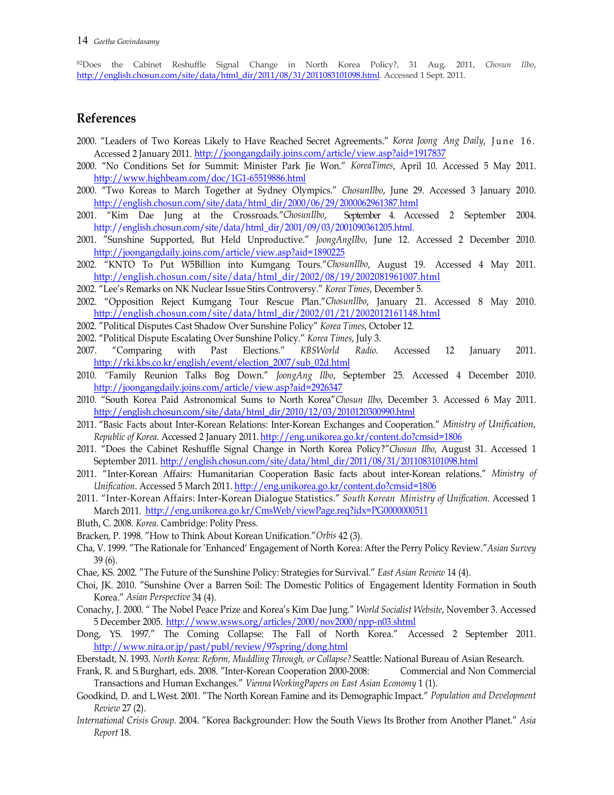82Does the Cabinet Reshuffle Signal Change in North Korea Policy?, 31 Aug. 2011, Chosun Ilbo, http://english.chosun.com/site/data/html\_dir/2011/08/31/2011083101098.html. Accessed 1 Sept. 2011.

# References

- <sup>82</sup>Does the Cabinet Reshuffle Signal Change in North Korea Policy?, 31 Aug. 2011, *Chosun Illo,*<br><sup>82</sup>Does the Cabinet Reshuffle Signal Change in North Korea Policy?, 31 Aug. 2011, *Chosun Illo,*<br>**References**<br>2000. "Leader Accessed 2 January 2011. http://joongangdaily.joins.com/article/view.asp?aid=1917837
- 2000. "No Conditions Set for Summit: Minister Park Jie Won." KoreaTimes, April 10. Accessed 5 May 2011. http://www.highbeam.com/doc/1G1-65519886.html
- 2000. "Two Koreas to March Together at Sydney Olympics." ChosunIlbo, June 29. Accessed 3 January 2010. http://english.chosun.com/site/data/html\_dir/2000/06/29/2000062961387.html
- 2001. "Kim Dae Jung at the Crossroads."ChosunIlbo, September 4. Accessed 2 September 2004. http://english.chosun.com/site/data/html\_dir/2001/09/03/2001090361205.html.
- 2001. "Sunshine Supported, But Held Unproductive." JoongAngIlbo, June 12. Accessed 2 December 2010. http://joongangdaily.joins.com/article/view.asp?aid=1890225
- 2002. "KNTO To Put W5Billion into Kumgang Tours."ChosunIlbo, August 19. Accessed 4 May 2011. http://english.chosun.com/site/data/html\_dir/2002/08/19/2002081961007.html
- 2002. "Lee's Remarks on NK Nuclear Issue Stirs Controversy." Korea Times, December 5.
- 2002. "Opposition Reject Kumgang Tour Rescue Plan."ChosunIlbo, January 21. Accessed 8 May 2010. http://english.chosun.com/site/data/html\_dir/2002/01/21/2002012161148.html
- 2002. "Political Disputes Cast Shadow Over Sunshine Policy" Korea Times, October 12.
- 2002. "Political Dispute Escalating Over Sunshine Policy." Korea Times, July 3.
- 2007. "Comparing with Past Elections." KBSWorld Radio. Accessed 12 January 2011. http://rki.kbs.co.kr/english/event/election\_2007/sub\_02d.html 2010. "Family Reunion Talks Bog Down." JoongAng Ilbo, September 25. Accessed 4 December 2010.
- http://joongangdaily.joins.com/article/view.asp?aid=2926347
- 2010. "South Korea Paid Astronomical Sums to North Korea"Chosun Ilbo, December 3. Accessed 6 May 2011. http://english.chosun.com/site/data/html\_dir/2010/12/03/2010120300990.html
- 2011. "Basic Facts about Inter-Korean Relations: Inter-Korean Exchanges and Cooperation." Ministry of Unification, Republic of Korea. Accessed 2 January 2011. http://eng.unikorea.go.kr/content.do?cmsid=1806 2011. "Does the Cabinet Reshuffle Signal Change in North Korea Policy?"Chosun Ilbo, August 31. Accessed 1
- September 2011. http://english.chosun.com/site/data/html\_dir/2011/08/31/2011083101098.html 2011. "Inter-Korean Affairs: Humanitarian Cooperation Basic facts about inter-Korean relations." Ministry of
- Unification. Accessed 5 March 2011. http://eng.unikorea.go.kr/content.do?cmsid=1806<br>2011. "Inter-Korean Affairs: Inter-Korean Dialogue Statistics." South Korean Ministry of Unification. Accessed 1
- March 2011. http://eng.unikorea.go.kr/CmsWeb/viewPage.req?idx=PG0000000511
- Bluth, C. 2008. Korea. Cambridge: Polity Press.
- Bracken, P. 1998. "How to Think About Korean Unification."Orbis 42 (3).
- Cha, V. 1999. "The Rationale for 'Enhanced' Engagement of North Korea: After the Perry Policy Review."Asian Survey 39 (6).
- Chae, KS. 2002. "The Future of the Sunshine Policy: Strategies for Survival." East Asian Review 14 (4).
- Choi, JK. 2010. "Sunshine Over a Barren Soil: The Domestic Politics of Engagement Identity Formation in South Korea." Asian Perspective 34 (4). http://conampaginity/restrictedion. 2007. And Odd Haml<br>
2010. "Tarmily Reunion Talks Bog Down." Joneyhay *Hbo*, September 25. Accessed 4 December 2010.<br>
2010. "South Korea Paid Astronomicalist Website, Details Website, 19
- 5 December 2005. http://www.wsws.org/articles/2000/nov2000/npp-n03.shtml
- Dong, YS. 1997." The Coming Collapse: The Fall of North Korea." Accessed 2 September 2011. http://www.nira.or.jp/past/publ/review/97spring/dong.html Eberstadt, N. 1993. North Korea: Reform, Muddling Through, or Collapse? Seattle: National Bureau of Asian Research.
- 
- Frank, R. and S. Burghart, eds. 2008. "Inter-Korean Cooperation 2000-2008: Commercial and Non Commercial Transactions and Human Exchanges." Vienna WorkingPapers on East Asian Economy 1 (1).
- Goodkind, D. and L. West. 2001. "The North Korean Famine and its Demographic Impact." Population and Development Review 27 (2).
- International Crisis Group. 2004. "Korea Backgrounder: How the South Views Its Brother from Another Planet." Asia Report 18.